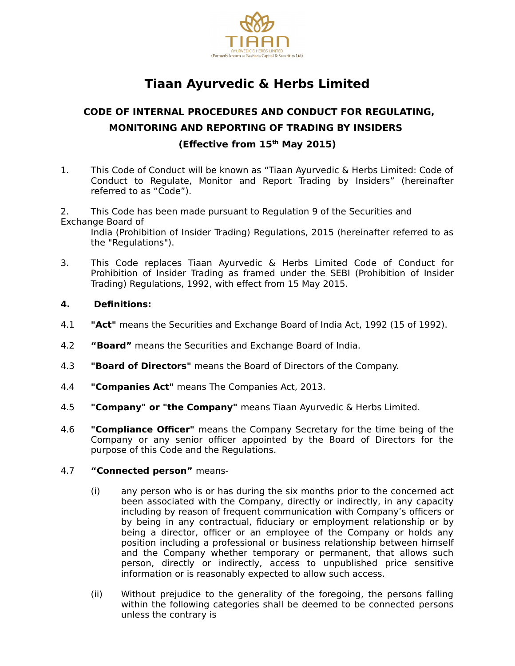

# **Tiaan Ayurvedic & Herbs Limited**

## **CODE OF INTERNAL PROCEDURES AND CONDUCT FOR REGULATING, MONITORING AND REPORTING OF TRADING BY INSIDERS (Effective from 15th May 2015)**

1. This Code of Conduct will be known as "Tiaan Ayurvedic & Herbs Limited: Code of Conduct to Regulate, Monitor and Report Trading by Insiders" (hereinafter referred to as "Code").

2. This Code has been made pursuant to Regulation 9 of the Securities and Exchange Board of

India (Prohibition of Insider Trading) Regulations, 2015 (hereinafter referred to as the "Regulations").

- 3. This Code replaces Tiaan Ayurvedic & Herbs Limited Code of Conduct for Prohibition of Insider Trading as framed under the SEBI (Prohibition of Insider Trading) Regulations, 1992, with effect from 15 May 2015.
- **4. Definitions:**
- 4.1 **"Act"** means the Securities and Exchange Board of India Act, 1992 (15 of 1992).
- 4.2 **"Board"** means the Securities and Exchange Board of India.
- 4.3 **"Board of Directors"** means the Board of Directors of the Company.
- 4.4 **"Companies Act"** means The Companies Act, 2013.
- 4.5 **"Company" or "the Company"** means Tiaan Ayurvedic & Herbs Limited.
- 4.6 **"Compliance Officer"** means the Company Secretary for the time being of the Company or any senior officer appointed by the Board of Directors for the purpose of this Code and the Regulations.

#### 4.7 **"Connected person"** means-

- (i) any person who is or has during the six months prior to the concerned act been associated with the Company, directly or indirectly, in any capacity including by reason of frequent communication with Company's officers or by being in any contractual, fiduciary or employment relationship or by being a director, officer or an employee of the Company or holds any position including a professional or business relationship between himself and the Company whether temporary or permanent, that allows such person, directly or indirectly, access to unpublished price sensitive information or is reasonably expected to allow such access.
- (ii) Without prejudice to the generality of the foregoing, the persons falling within the following categories shall be deemed to be connected persons unless the contrary is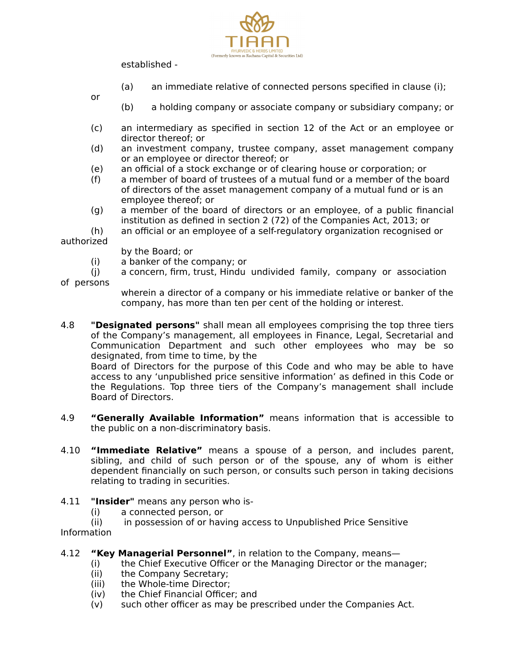

established -

- (a) an immediate relative of connected persons specified in clause (i);
- or
- (b) a holding company or associate company or subsidiary company; or
- (c) an intermediary as specified in section 12 of the Act or an employee or director thereof; or
- (d) an investment company, trustee company, asset management company or an employee or director thereof; or
- (e) an official of a stock exchange or of clearing house or corporation; or
- (f) a member of board of trustees of a mutual fund or a member of the board of directors of the asset management company of a mutual fund or is an employee thereof; or
- (g) a member of the board of directors or an employee, of a public financial institution as defined in section 2 (72) of the Companies Act, 2013; or
- (h) an official or an employee of a self-regulatory organization recognised or

authorized

- by the Board; or
- (i) a banker of the company; or
- (j) a concern, firm, trust, Hindu undivided family, company or association

of persons

wherein a director of a company or his immediate relative or banker of the company, has more than ten per cent of the holding or interest.

4.8 **"Designated persons"** shall mean all employees comprising the top three tiers of the Company's management, all employees in Finance, Legal, Secretarial and Communication Department and such other employees who may be so designated, from time to time, by the

Board of Directors for the purpose of this Code and who may be able to have access to any 'unpublished price sensitive information' as defined in this Code or the Regulations. Top three tiers of the Company's management shall include Board of Directors.

- 4.9 **"Generally Available Information"** means information that is accessible to the public on a non-discriminatory basis.
- 4.10 **"Immediate Relative"** means a spouse of a person, and includes parent, sibling, and child of such person or of the spouse, any of whom is either dependent financially on such person, or consults such person in taking decisions relating to trading in securities.
- 4.11 **"Insider"** means any person who is-
	- (i) a connected person, or
	- (ii) in possession of or having access to Unpublished Price Sensitive

Information

- 4.12 **"Key Managerial Personnel"**, in relation to the Company, means—
	- (i) the Chief Executive Officer or the Managing Director or the manager;
	- (ii) the Company Secretary;
	- (iii) the Whole-time Director;
	- (iv) the Chief Financial Officer; and
	- (v) such other officer as may be prescribed under the Companies Act.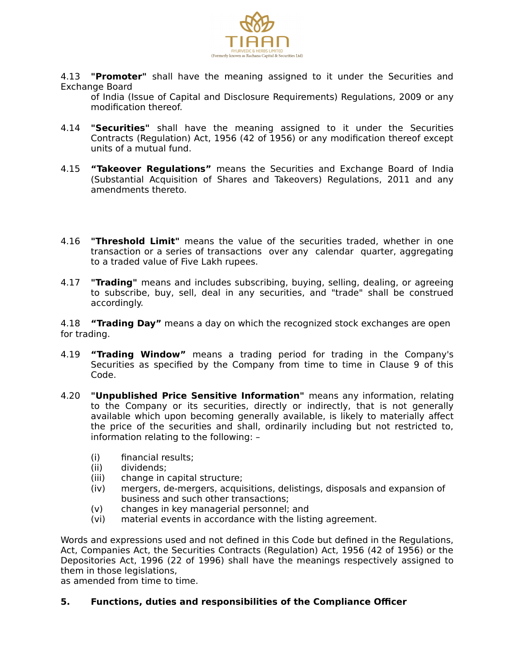

4.13 **"Promoter"** shall have the meaning assigned to it under the Securities and Exchange Board

of India (Issue of Capital and Disclosure Requirements) Regulations, 2009 or any modification thereof.

- 4.14 **"Securities"** shall have the meaning assigned to it under the Securities Contracts (Regulation) Act, 1956 (42 of 1956) or any modification thereof except units of a mutual fund.
- 4.15 **"Takeover Regulations"** means the Securities and Exchange Board of India (Substantial Acquisition of Shares and Takeovers) Regulations, 2011 and any amendments thereto.
- 4.16 **"Threshold Limit"** means the value of the securities traded, whether in one transaction or a series of transactions over any calendar quarter, aggregating to a traded value of Five Lakh rupees.
- 4.17 **"Trading"** means and includes subscribing, buying, selling, dealing, or agreeing to subscribe, buy, sell, deal in any securities, and "trade" shall be construed accordingly.

4.18 **"Trading Day"** means a day on which the recognized stock exchanges are open for trading.

- 4.19 **"Trading Window"** means a trading period for trading in the Company's Securities as specified by the Company from time to time in Clause 9 of this Code.
- 4.20 **"Unpublished Price Sensitive Information"** means any information, relating to the Company or its securities, directly or indirectly, that is not generally available which upon becoming generally available, is likely to materially affect the price of the securities and shall, ordinarily including but not restricted to, information relating to the following: –
	- (i) financial results;
	- (ii) dividends;
	- (iii) change in capital structure;
	- (iv) mergers, de-mergers, acquisitions, delistings, disposals and expansion of business and such other transactions;
	- (v) changes in key managerial personnel; and
	- (vi) material events in accordance with the listing agreement.

Words and expressions used and not defined in this Code but defined in the Regulations, Act, Companies Act, the Securities Contracts (Regulation) Act, 1956 (42 of 1956) or the Depositories Act, 1996 (22 of 1996) shall have the meanings respectively assigned to them in those legislations,

as amended from time to time.

#### **5. Functions, duties and responsibilities of the Compliance Officer**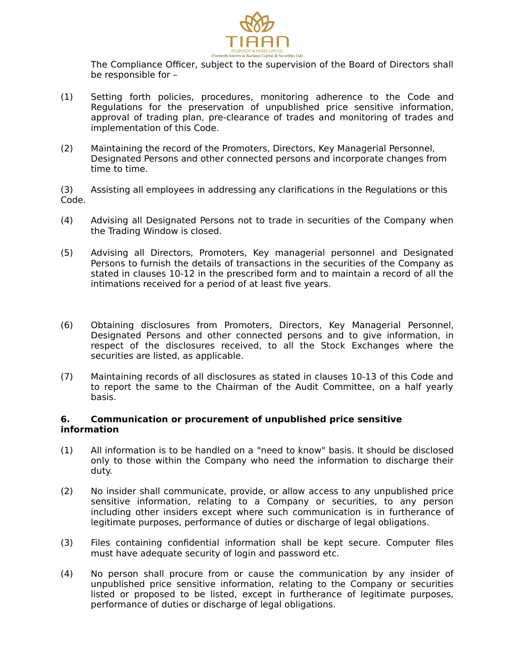

The Compliance Officer, subject to the supervision of the Board of Directors shall be responsible for –

- (1) Setting forth policies, procedures, monitoring adherence to the Code and Regulations for the preservation of unpublished price sensitive information, approval of trading plan, pre-clearance of trades and monitoring of trades and implementation of this Code.
- (2) Maintaining the record of the Promoters, Directors, Key Managerial Personnel, Designated Persons and other connected persons and incorporate changes from time to time.

(3) Assisting all employees in addressing any clarifications in the Regulations or this Code.

- (4) Advising all Designated Persons not to trade in securities of the Company when the Trading Window is closed.
- (5) Advising all Directors, Promoters, Key managerial personnel and Designated Persons to furnish the details of transactions in the securities of the Company as stated in clauses 10-12 in the prescribed form and to maintain a record of all the intimations received for a period of at least five years.
- (6) Obtaining disclosures from Promoters, Directors, Key Managerial Personnel, Designated Persons and other connected persons and to give information, in respect of the disclosures received, to all the Stock Exchanges where the securities are listed, as applicable.
- (7) Maintaining records of all disclosures as stated in clauses 10-13 of this Code and to report the same to the Chairman of the Audit Committee, on a half yearly basis.

#### **6. Communication or procurement of unpublished price sensitive information**

- (1) All information is to be handled on a "need to know" basis. It should be disclosed only to those within the Company who need the information to discharge their duty.
- (2) No insider shall communicate, provide, or allow access to any unpublished price sensitive information, relating to a Company or securities, to any person including other insiders except where such communication is in furtherance of legitimate purposes, performance of duties or discharge of legal obligations.
- (3) Files containing confidential information shall be kept secure. Computer files must have adequate security of login and password etc.
- (4) No person shall procure from or cause the communication by any insider of unpublished price sensitive information, relating to the Company or securities listed or proposed to be listed, except in furtherance of legitimate purposes, performance of duties or discharge of legal obligations.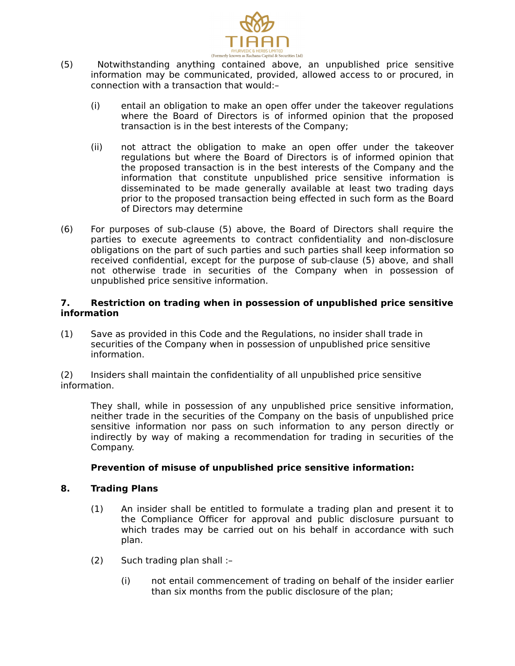

- (5) Notwithstanding anything contained above, an unpublished price sensitive information may be communicated, provided, allowed access to or procured, in connection with a transaction that would:–
	- (i) entail an obligation to make an open offer under the takeover regulations where the Board of Directors is of informed opinion that the proposed transaction is in the best interests of the Company;
	- (ii) not attract the obligation to make an open offer under the takeover regulations but where the Board of Directors is of informed opinion that the proposed transaction is in the best interests of the Company and the information that constitute unpublished price sensitive information is disseminated to be made generally available at least two trading days prior to the proposed transaction being effected in such form as the Board of Directors may determine
- (6) For purposes of sub-clause (5) above, the Board of Directors shall require the parties to execute agreements to contract confidentiality and non-disclosure obligations on the part of such parties and such parties shall keep information so received confidential, except for the purpose of sub-clause (5) above, and shall not otherwise trade in securities of the Company when in possession of unpublished price sensitive information.

#### **7. Restriction on trading when in possession of unpublished price sensitive information**

(1) Save as provided in this Code and the Regulations, no insider shall trade in securities of the Company when in possession of unpublished price sensitive information.

(2) Insiders shall maintain the confidentiality of all unpublished price sensitive information.

They shall, while in possession of any unpublished price sensitive information, neither trade in the securities of the Company on the basis of unpublished price sensitive information nor pass on such information to any person directly or indirectly by way of making a recommendation for trading in securities of the Company.

#### **Prevention of misuse of unpublished price sensitive information:**

#### **8. Trading Plans**

- (1) An insider shall be entitled to formulate a trading plan and present it to the Compliance Officer for approval and public disclosure pursuant to which trades may be carried out on his behalf in accordance with such plan.
- (2) Such trading plan shall :–
	- (i) not entail commencement of trading on behalf of the insider earlier than six months from the public disclosure of the plan;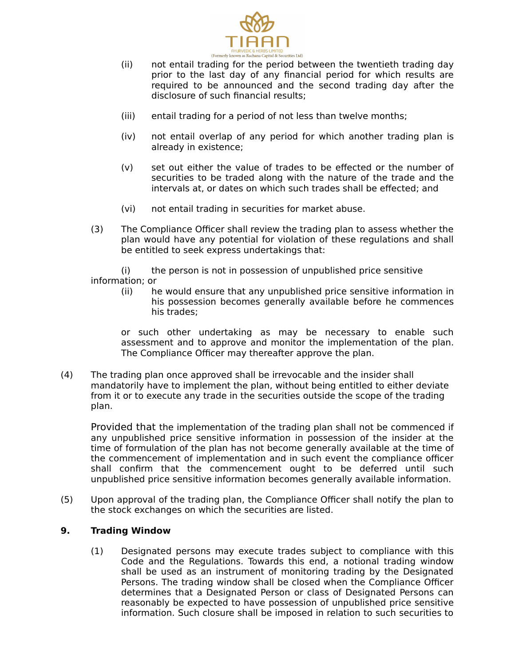

- (ii) not entail trading for the period between the twentieth trading day prior to the last day of any financial period for which results are required to be announced and the second trading day after the disclosure of such financial results;
- (iii) entail trading for a period of not less than twelve months;
- (iv) not entail overlap of any period for which another trading plan is already in existence;
- (v) set out either the value of trades to be effected or the number of securities to be traded along with the nature of the trade and the intervals at, or dates on which such trades shall be effected; and
- (vi) not entail trading in securities for market abuse.
- (3) The Compliance Officer shall review the trading plan to assess whether the plan would have any potential for violation of these regulations and shall be entitled to seek express undertakings that:

(i) the person is not in possession of unpublished price sensitive information; or

(ii) he would ensure that any unpublished price sensitive information in his possession becomes generally available before he commences his trades;

or such other undertaking as may be necessary to enable such assessment and to approve and monitor the implementation of the plan. The Compliance Officer may thereafter approve the plan.

(4) The trading plan once approved shall be irrevocable and the insider shall mandatorily have to implement the plan, without being entitled to either deviate from it or to execute any trade in the securities outside the scope of the trading plan.

Provided that the implementation of the trading plan shall not be commenced if any unpublished price sensitive information in possession of the insider at the time of formulation of the plan has not become generally available at the time of the commencement of implementation and in such event the compliance officer shall confirm that the commencement ought to be deferred until such unpublished price sensitive information becomes generally available information.

(5) Upon approval of the trading plan, the Compliance Officer shall notify the plan to the stock exchanges on which the securities are listed.

#### **9. Trading Window**

(1) Designated persons may execute trades subject to compliance with this Code and the Regulations. Towards this end, a notional trading window shall be used as an instrument of monitoring trading by the Designated Persons. The trading window shall be closed when the Compliance Officer determines that a Designated Person or class of Designated Persons can reasonably be expected to have possession of unpublished price sensitive information. Such closure shall be imposed in relation to such securities to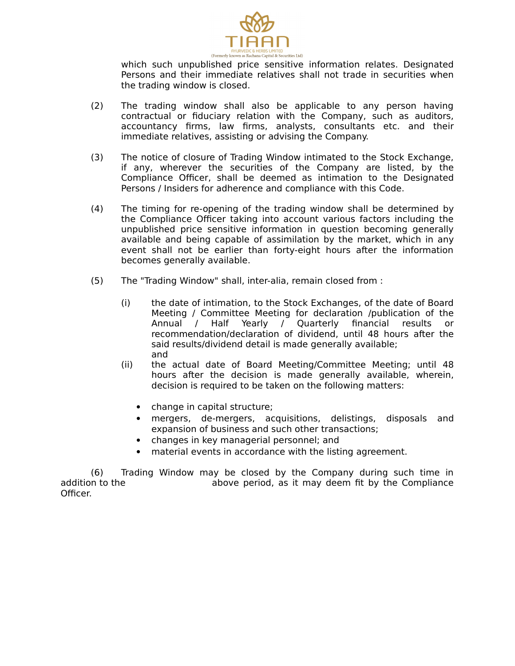

which such unpublished price sensitive information relates. Designated Persons and their immediate relatives shall not trade in securities when the trading window is closed.

- (2) The trading window shall also be applicable to any person having contractual or fiduciary relation with the Company, such as auditors, accountancy firms, law firms, analysts, consultants etc. and their immediate relatives, assisting or advising the Company.
- (3) The notice of closure of Trading Window intimated to the Stock Exchange, if any, wherever the securities of the Company are listed, by the Compliance Officer, shall be deemed as intimation to the Designated Persons / Insiders for adherence and compliance with this Code.
- (4) The timing for re-opening of the trading window shall be determined by the Compliance Officer taking into account various factors including the unpublished price sensitive information in question becoming generally available and being capable of assimilation by the market, which in any event shall not be earlier than forty-eight hours after the information becomes generally available.
- (5) The "Trading Window" shall, inter-alia, remain closed from :
	- (i) the date of intimation, to the Stock Exchanges, of the date of Board Meeting / Committee Meeting for declaration /publication of the Annual / Half Yearly / Quarterly financial results or recommendation/declaration of dividend, until 48 hours after the said results/dividend detail is made generally available; and
	- (ii) the actual date of Board Meeting/Committee Meeting; until 48 hours after the decision is made generally available, wherein, decision is required to be taken on the following matters:
		- change in capital structure;
		- mergers, de-mergers, acquisitions, delistings, disposals and expansion of business and such other transactions;
		- changes in key managerial personnel; and
		- material events in accordance with the listing agreement.

(6) Trading Window may be closed by the Company during such time in addition to the above period, as it may deem fit by the Compliance Officer.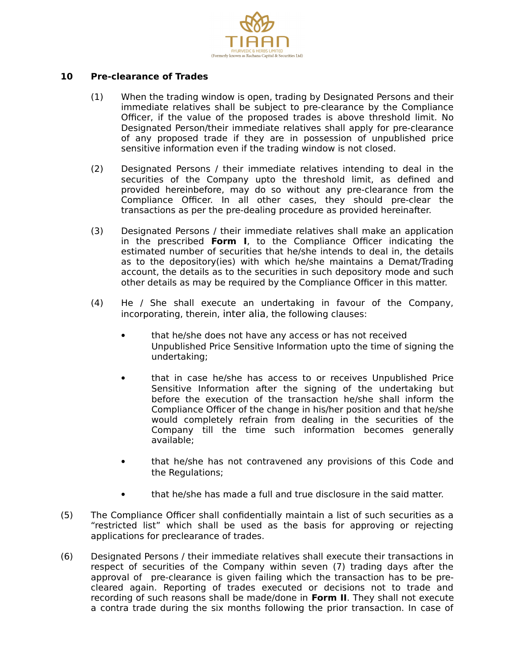

#### **10 Pre-clearance of Trades**

- (1) When the trading window is open, trading by Designated Persons and their immediate relatives shall be subject to pre-clearance by the Compliance Officer, if the value of the proposed trades is above threshold limit. No Designated Person/their immediate relatives shall apply for pre-clearance of any proposed trade if they are in possession of unpublished price sensitive information even if the trading window is not closed.
- (2) Designated Persons / their immediate relatives intending to deal in the securities of the Company upto the threshold limit, as defined and provided hereinbefore, may do so without any pre-clearance from the Compliance Officer. In all other cases, they should pre-clear the transactions as per the pre-dealing procedure as provided hereinafter.
- (3) Designated Persons / their immediate relatives shall make an application in the prescribed **Form I**, to the Compliance Officer indicating the estimated number of securities that he/she intends to deal in, the details as to the depository(ies) with which he/she maintains a Demat/Trading account, the details as to the securities in such depository mode and such other details as may be required by the Compliance Officer in this matter.
- (4) He / She shall execute an undertaking in favour of the Company, incorporating, therein, inter alia, the following clauses:
	- that he/she does not have any access or has not received Unpublished Price Sensitive Information upto the time of signing the undertaking;
	- that in case he/she has access to or receives Unpublished Price Sensitive Information after the signing of the undertaking but before the execution of the transaction he/she shall inform the Compliance Officer of the change in his/her position and that he/she would completely refrain from dealing in the securities of the Company till the time such information becomes generally available;
	- that he/she has not contravened any provisions of this Code and the Regulations;
	- that he/she has made a full and true disclosure in the said matter.
- (5) The Compliance Officer shall confidentially maintain a list of such securities as a "restricted list" which shall be used as the basis for approving or rejecting applications for preclearance of trades.
- (6) Designated Persons / their immediate relatives shall execute their transactions in respect of securities of the Company within seven (7) trading days after the approval of pre-clearance is given failing which the transaction has to be precleared again. Reporting of trades executed or decisions not to trade and recording of such reasons shall be made/done in **Form II**. They shall not execute a contra trade during the six months following the prior transaction. In case of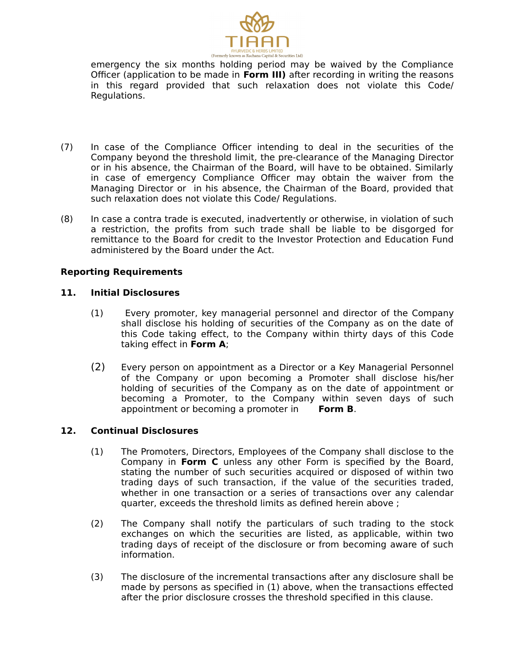

emergency the six months holding period may be waived by the Compliance Officer (application to be made in **Form III)** after recording in writing the reasons in this regard provided that such relaxation does not violate this Code/ Regulations.

- (7) In case of the Compliance Officer intending to deal in the securities of the Company beyond the threshold limit, the pre-clearance of the Managing Director or in his absence, the Chairman of the Board, will have to be obtained. Similarly in case of emergency Compliance Officer may obtain the waiver from the Managing Director or in his absence, the Chairman of the Board, provided that such relaxation does not violate this Code/ Regulations.
- (8) In case a contra trade is executed, inadvertently or otherwise, in violation of such a restriction, the profits from such trade shall be liable to be disgorged for remittance to the Board for credit to the Investor Protection and Education Fund administered by the Board under the Act.

#### **Reporting Requirements**

#### **11. Initial Disclosures**

- (1) Every promoter, key managerial personnel and director of the Company shall disclose his holding of securities of the Company as on the date of this Code taking effect, to the Company within thirty days of this Code taking effect in **Form A**;
- (2) Every person on appointment as a Director or a Key Managerial Personnel of the Company or upon becoming a Promoter shall disclose his/her holding of securities of the Company as on the date of appointment or becoming a Promoter, to the Company within seven days of such appointment or becoming a promoter in **Form B**.

#### **12. Continual Disclosures**

- (1) The Promoters, Directors, Employees of the Company shall disclose to the Company in **Form C** unless any other Form is specified by the Board, stating the number of such securities acquired or disposed of within two trading days of such transaction, if the value of the securities traded, whether in one transaction or a series of transactions over any calendar quarter, exceeds the threshold limits as defined herein above ;
- (2) The Company shall notify the particulars of such trading to the stock exchanges on which the securities are listed, as applicable, within two trading days of receipt of the disclosure or from becoming aware of such information.
- (3) The disclosure of the incremental transactions after any disclosure shall be made by persons as specified in (1) above, when the transactions effected after the prior disclosure crosses the threshold specified in this clause.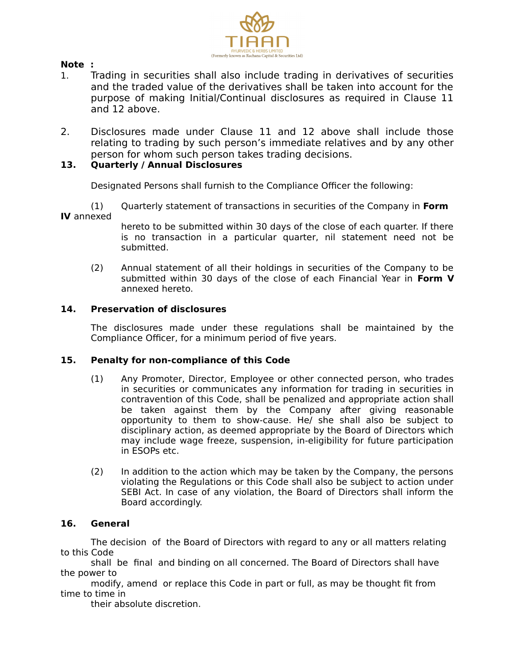

#### **Note :**

- 1. Trading in securities shall also include trading in derivatives of securities and the traded value of the derivatives shall be taken into account for the purpose of making Initial/Continual disclosures as required in Clause 11 and 12 above.
- 2. Disclosures made under Clause 11 and 12 above shall include those relating to trading by such person's immediate relatives and by any other person for whom such person takes trading decisions.

#### **13. Quarterly / Annual Disclosures**

Designated Persons shall furnish to the Compliance Officer the following:

(1) Quarterly statement of transactions in securities of the Company in **Form IV** annexed

- hereto to be submitted within 30 days of the close of each quarter. If there is no transaction in a particular quarter, nil statement need not be submitted.
- (2) Annual statement of all their holdings in securities of the Company to be submitted within 30 days of the close of each Financial Year in **Form V** annexed hereto.

#### **14. Preservation of disclosures**

The disclosures made under these regulations shall be maintained by the Compliance Officer, for a minimum period of five years.

#### **15. Penalty for non-compliance of this Code**

- (1) Any Promoter, Director, Employee or other connected person, who trades in securities or communicates any information for trading in securities in contravention of this Code, shall be penalized and appropriate action shall be taken against them by the Company after giving reasonable opportunity to them to show-cause. He/ she shall also be subject to disciplinary action, as deemed appropriate by the Board of Directors which may include wage freeze, suspension, in-eligibility for future participation in ESOPs etc.
- (2) In addition to the action which may be taken by the Company, the persons violating the Regulations or this Code shall also be subject to action under SEBI Act. In case of any violation, the Board of Directors shall inform the Board accordingly.

#### **16. General**

The decision of the Board of Directors with regard to any or all matters relating to this Code

shall be final and binding on all concerned. The Board of Directors shall have the power to

modify, amend or replace this Code in part or full, as may be thought fit from time to time in

their absolute discretion.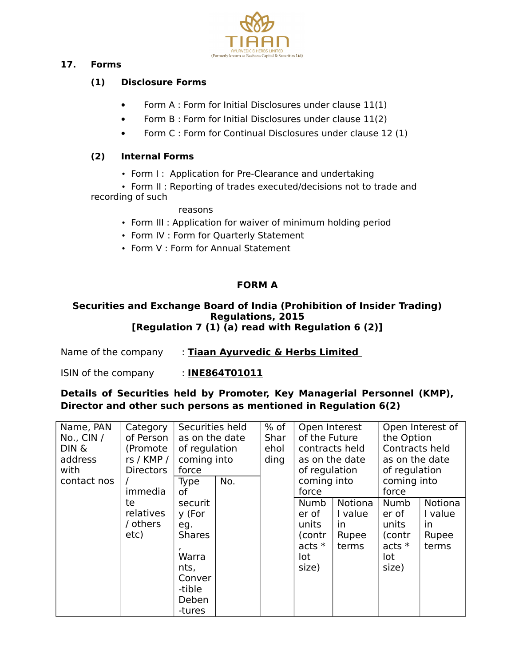

## **17. Forms**

## **(1) Disclosure Forms**

- Form A : Form for Initial Disclosures under clause 11(1)
- Form B : Form for Initial Disclosures under clause 11(2)
- Form C : Form for Continual Disclosures under clause 12 (1)

## **(2) Internal Forms**

• Form I: Application for Pre-Clearance and undertaking

• Form II : Reporting of trades executed/decisions not to trade and recording of such

#### reasons

- Form III : Application for waiver of minimum holding period
- Form IV : Form for Quarterly Statement
- Form V : Form for Annual Statement

## **FORM A**

#### **Securities and Exchange Board of India (Prohibition of Insider Trading) Regulations, 2015 [Regulation 7 (1) (a) read with Regulation 6 (2)]**

Name of the company : **Tiaan Ayurvedic & Herbs Limited** 

ISIN of the company : **INE864T01011**

## **Details of Securities held by Promoter, Key Managerial Personnel (KMP), Director and other such persons as mentioned in Regulation 6(2)**

| Name, PAN<br>No., CIN $/$<br>DIN &<br>address<br>with | Category<br>of Person<br>(Promote<br>rs / KMP /<br><b>Directors</b> | Securities held<br>as on the date<br>of regulation<br>coming into<br>force                        |     | $%$ of<br>Shar<br>ehol<br>ding | Open Interest<br>of the Future<br>contracts held<br>as on the date<br>of regulation |                                            | Open Interest of<br>the Option<br>Contracts held<br>as on the date<br>of regulation<br>coming into<br>force |                                            |  |
|-------------------------------------------------------|---------------------------------------------------------------------|---------------------------------------------------------------------------------------------------|-----|--------------------------------|-------------------------------------------------------------------------------------|--------------------------------------------|-------------------------------------------------------------------------------------------------------------|--------------------------------------------|--|
| contact nos                                           | immedia                                                             | <b>Type</b><br>οf                                                                                 | No. |                                | coming into<br>force                                                                |                                            |                                                                                                             |                                            |  |
|                                                       | te<br>relatives<br>/ others<br>etc)                                 | securit<br>y (For<br>eg.<br><b>Shares</b><br>Warra<br>nts,<br>Conver<br>-tible<br>Deben<br>-tures |     |                                | Numb<br>er of<br>units<br>(contr<br>$acts *$<br>lot<br>size)                        | Notiona<br>I value<br>in<br>Rupee<br>terms | Numb<br>er of<br>units<br>(contr<br>$acts *$<br>lot<br>size)                                                | Notiona<br>I value<br>in<br>Rupee<br>terms |  |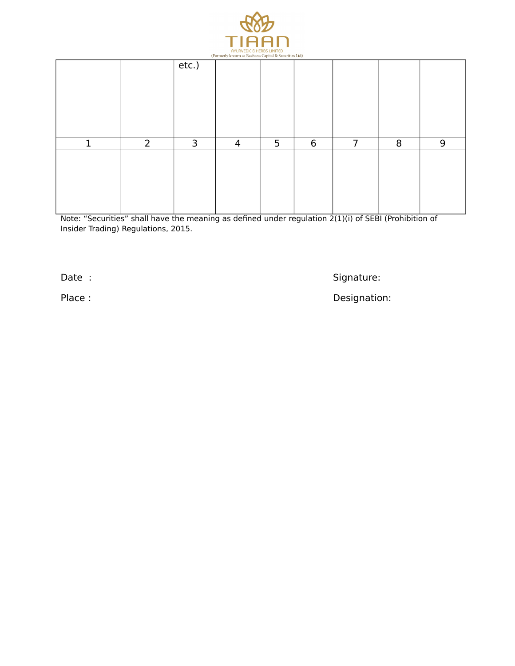

|   |                |          | (Formerly known as Rachana Capital & Securities Ltd) |   |   |   |   |   |
|---|----------------|----------|------------------------------------------------------|---|---|---|---|---|
|   |                | $etc.$ ) |                                                      |   |   |   |   |   |
| 1 | $\overline{2}$ | 3        | $\overline{4}$                                       | 5 | 6 | 7 | 8 | 9 |
|   |                |          |                                                      |   |   |   |   |   |

Note: "Securities" shall have the meaning as defined under regulation 2(1)(i) of SEBI (Prohibition of Insider Trading) Regulations, 2015.

Date : Signature: Signature: Signature: Signature: Signature: Signature: Signature: Signature: Signature: Signature: Signature: Signature: Signature: Signature: Signature: Signature: Signature: Signature: Signature: Signat

Place : Contract of the Contract of the Contract of the Designation: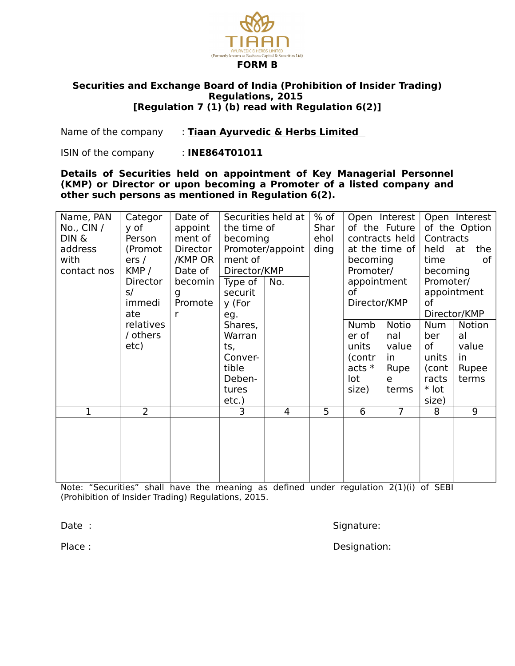

#### **Securities and Exchange Board of India (Prohibition of Insider Trading) Regulations, 2015 [Regulation 7 (1) (b) read with Regulation 6(2)]**

Name of the company : **Tiaan Ayurvedic & Herbs Limited** 

ISIN of the company : **INE864T01011** 

**Details of Securities held on appointment of Key Managerial Personnel (KMP) or Director or upon becoming a Promoter of a listed company and other such persons as mentioned in Regulation 6(2).** 

| Name, PAN    | Categor        | Date of  |              | Securities held at | % of           |                | Open Interest  | Open Interest |             |  |
|--------------|----------------|----------|--------------|--------------------|----------------|----------------|----------------|---------------|-------------|--|
| No., CIN $/$ | y of           | appoint  | the time of  |                    | Shar           |                | of the Future  | of the Option |             |  |
| DIN &        | Person         | ment of  | becoming     |                    | ehol           |                | contracts held | Contracts     |             |  |
| address      | (Promot        | Director |              | Promoter/appoint   | ding           |                | at the time of | held          | at<br>the   |  |
| with         | ers/           | /KMP OR  | ment of      |                    |                | becoming       |                | time<br>оf    |             |  |
| contact nos  | KMP/           | Date of  | Director/KMP |                    |                | Promoter/      |                | becoming      |             |  |
|              | Director       | becomin  | Type of      | No.                |                | appointment    |                | Promoter/     |             |  |
|              | s/             | g        | securit      |                    |                | of             |                |               | appointment |  |
|              | immedi         | Promote  | y (For       |                    |                | Director/KMP   |                | of            |             |  |
|              | ate            | r        | eg.          |                    |                |                |                | Director/KMP  |             |  |
|              | relatives      |          | Shares,      |                    |                | Numb           | <b>Notio</b>   | <b>Num</b>    | Notion      |  |
|              | / others       |          | Warran       |                    |                | er of          | nal            | ber           | al          |  |
|              | etc)           |          | ts,          |                    |                | units          | value          | of            | value       |  |
|              |                |          | Conver-      |                    |                | (contr         | in             | units         | in          |  |
|              |                |          | tible        |                    |                | acts $*$       | Rupe           | (cont         | Rupee       |  |
|              |                |          | Deben-       |                    |                | lot            | e              | racts         | terms       |  |
|              |                |          | tures        |                    |                | size)          | terms          | * lot         |             |  |
|              |                |          | $etc.$ )     |                    |                |                |                | size)         |             |  |
| 1            | $\overline{2}$ |          | 3            | 4                  | $\overline{5}$ | $\overline{6}$ | $\overline{7}$ | 8             | 9           |  |
|              |                |          |              |                    |                |                |                |               |             |  |
|              |                |          |              |                    |                |                |                |               |             |  |
|              |                |          |              |                    |                |                |                |               |             |  |
|              |                |          |              |                    |                |                |                |               |             |  |
|              |                |          |              |                    |                |                |                |               |             |  |
|              |                |          |              |                    |                |                |                |               |             |  |

Note: "Securities" shall have the meaning as defined under regulation 2(1)(i) of SEBI (Prohibition of Insider Trading) Regulations, 2015.

Date : Signature: Signature: Signature: Signature: Signature: Signature: Signature: Signature: Signature: Signature: Signature: Signature: Signature: Signature: Signature: Signature: Signature: Signature: Signature: Signat

Place : Contract of the Contract of the Contract of the Designation: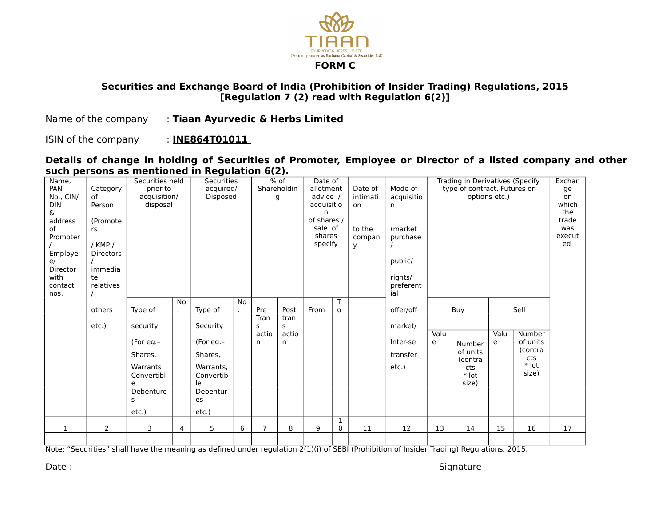

## **Securities and Exchange Board of India (Prohibition of Insider Trading) Regulations, 2015 [Regulation 7 (2) read with Regulation 6(2)]**

Name of the company : **Tiaan Ayurvedic & Herbs Limited** 

ISIN of the company : **INE864T01011** 

**Details of change in holding of Securities of Promoter, Employee or Director of a listed company and other such persons as mentioned in Regulation 6(2).** 

| Name,<br>PAN<br>No., CIN/<br><b>DIN</b><br>&.<br>address<br>of<br>Promoter<br>Employe<br>e/<br>Director<br>with<br>contact<br>nos. | Category<br>of<br>Person<br>(Promote<br>rs<br>$/$ KMP $/$<br><b>Directors</b><br>immedia<br>te<br>relatives | Securities held<br>prior to<br>acquisition/<br>disposal                                               |                    | <b>Securities</b><br>acquired/<br>Disposed                                                             |    | $%$ of<br>Shareholdin<br>g     |                                 | Date of<br>allotment<br>advice /<br>acquisitio<br>n<br>of shares /<br>sale of<br>shares<br>specify |                   | Date of<br>intimati<br>on<br>to the<br>compan<br><b>y</b> | Mode of<br>acquisitio<br>n<br>(market)<br>purchase<br>public/<br>rights/<br>preferent<br>ial |           | type of contract, Futures or<br>options etc.)                 |           | Trading in Derivatives (Specify                                  | Exchan<br>ge<br>on<br>which<br>the<br>trade<br>was<br>execut<br>ed |
|------------------------------------------------------------------------------------------------------------------------------------|-------------------------------------------------------------------------------------------------------------|-------------------------------------------------------------------------------------------------------|--------------------|--------------------------------------------------------------------------------------------------------|----|--------------------------------|---------------------------------|----------------------------------------------------------------------------------------------------|-------------------|-----------------------------------------------------------|----------------------------------------------------------------------------------------------|-----------|---------------------------------------------------------------|-----------|------------------------------------------------------------------|--------------------------------------------------------------------|
|                                                                                                                                    | others<br>etc.)                                                                                             | Type of<br>security<br>(For eg.-<br>Shares,<br>Warrants<br>Convertibl<br>e<br>Debenture<br>s<br>etc.) | No<br>$\mathbf{r}$ | Type of<br>Security<br>(For eg.-<br>Shares,<br>Warrants.<br>Convertib<br>le<br>Debentur<br>es<br>etc.) | No | Pre<br>Tran<br>s<br>actio<br>n | Post<br>tran<br>s<br>actio<br>n | From                                                                                               | o                 |                                                           | offer/off<br>market/<br>Inter-se<br>transfer<br>etc.)                                        | Valu<br>e | Buy<br>Number<br>of units<br>(contra<br>cts<br>* lot<br>size) | Valu<br>e | Sell<br>Number<br>of units<br>(contra<br>cts<br>$*$ lot<br>size) |                                                                    |
| 1                                                                                                                                  | $\overline{2}$                                                                                              | 3                                                                                                     | 4                  | 5                                                                                                      | 6  | $\overline{7}$                 | 8                               | 9                                                                                                  | 1<br>$\mathbf{0}$ | 11                                                        | 12                                                                                           | 13        | 14                                                            | 15        | 16                                                               | 17                                                                 |
|                                                                                                                                    |                                                                                                             |                                                                                                       |                    |                                                                                                        |    |                                |                                 |                                                                                                    |                   |                                                           |                                                                                              |           |                                                               |           |                                                                  |                                                                    |

Note: "Securities" shall have the meaning as defined under regulation 2(1)(i) of SEBI (Prohibition of Insider Trading) Regulations, 2015.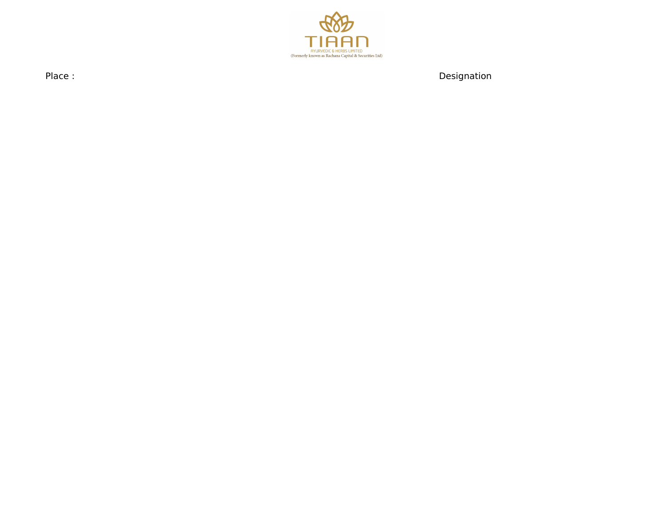

Place : Designation and the planet of the contract of the contract of the Designation Designation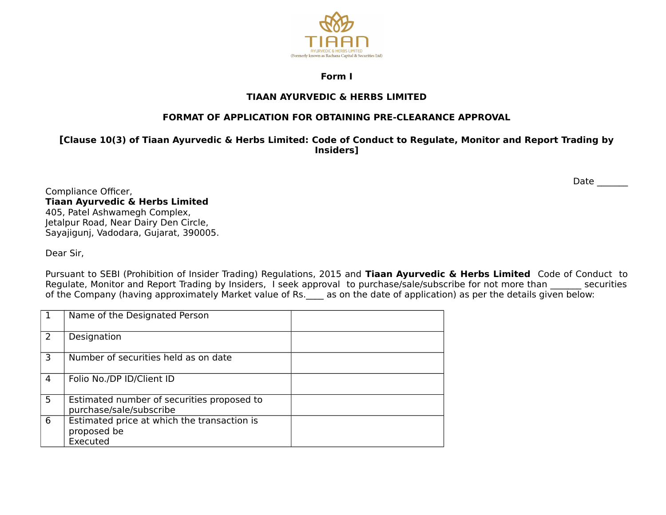

#### **Form I**

## **TIAAN AYURVEDIC & HERBS LIMITED**

## **FORMAT OF APPLICATION FOR OBTAINING PRE-CLEARANCE APPROVAL**

**[Clause 10(3) of Tiaan Ayurvedic & Herbs Limited: Code of Conduct to Regulate, Monitor and Report Trading by Insiders]**

Compliance Officer, **Tiaan Ayurvedic & Herbs Limited** 405, Patel Ashwamegh Complex, Jetalpur Road, Near Dairy Den Circle, Sayajigunj, Vadodara, Gujarat, 390005.

Dear Sir,

Pursuant to SEBI (Prohibition of Insider Trading) Regulations, 2015 and **Tiaan Ayurvedic & Herbs Limited** Code of Conduct to Regulate, Monitor and Report Trading by Insiders, I seek approval to purchase/sale/subscribe for not more than securities of the Company (having approximately Market value of Rs. <br>as on the date of application) as per the details given below:

| $\mathbf 1$   | Name of the Designated Person                                          |  |
|---------------|------------------------------------------------------------------------|--|
| $\mathcal{L}$ | Designation                                                            |  |
| 3             | Number of securities held as on date                                   |  |
| 4             | Folio No./DP ID/Client ID                                              |  |
| 5             | Estimated number of securities proposed to<br>purchase/sale/subscribe  |  |
| 6             | Estimated price at which the transaction is<br>proposed be<br>Executed |  |

Date  $\_\_$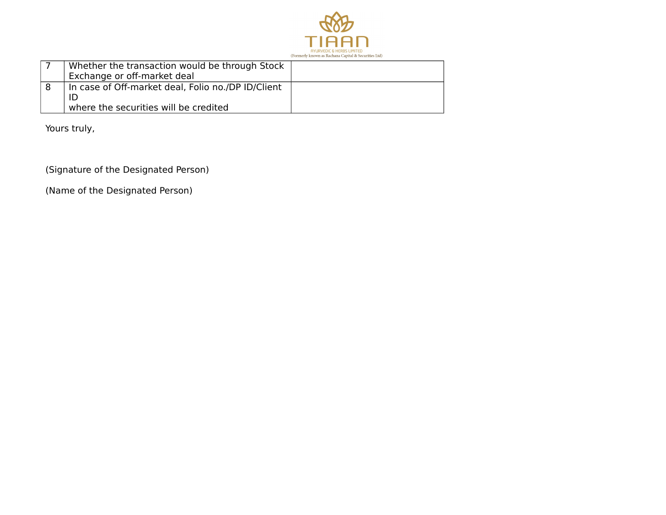

| Whether the transaction would be through Stock<br>Exchange or off-market deal |
|-------------------------------------------------------------------------------|
| In case of Off-market deal, Folio no./DP ID/Client                            |
| where the securities will be credited                                         |

Yours truly,

(Signature of the Designated Person)

(Name of the Designated Person)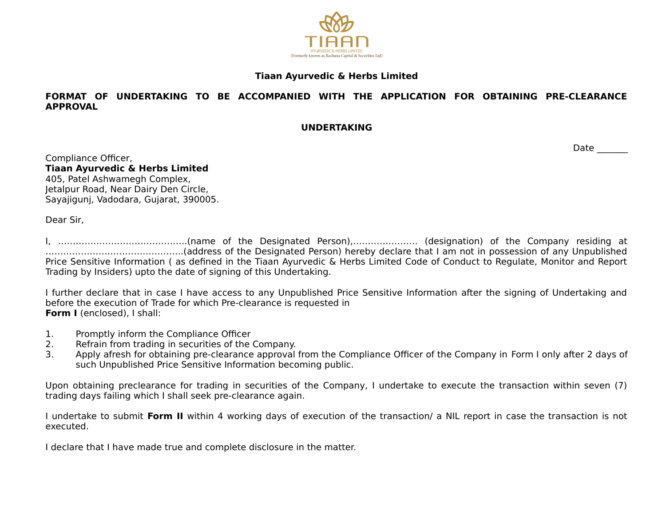

### **Tiaan Ayurvedic & Herbs Limited**

#### **FORMAT OF UNDERTAKING TO BE ACCOMPANIED WITH THE APPLICATION FOR OBTAINING PRE-CLEARANCE APPROVAL**

#### **UNDERTAKING**

Date  $\_\_$ 

Compliance Officer, **Tiaan Ayurvedic & Herbs Limited** 405, Patel Ashwamegh Complex, Jetalpur Road, Near Dairy Den Circle, Sayajigunj, Vadodara, Gujarat, 390005.

Dear Sir,

I, ……………………………………..(name of the Designated Person),…………………. (designation) of the Company residing at ………………………………………..(address of the Designated Person) hereby declare that I am not in possession of any Unpublished Price Sensitive Information ( as defined in the Tiaan Ayurvedic & Herbs Limited Code of Conduct to Regulate, Monitor and Report Trading by Insiders) upto the date of signing of this Undertaking.

I further declare that in case I have access to any Unpublished Price Sensitive Information after the signing of Undertaking and before the execution of Trade for which Pre-clearance is requested in **Form I** (enclosed), I shall:

- 1. Promptly inform the Compliance Officer
- 2. Refrain from trading in securities of the Company.
- 3. Apply afresh for obtaining pre-clearance approval from the Compliance Officer of the Company in Form I only after 2 days of such Unpublished Price Sensitive Information becoming public.

Upon obtaining preclearance for trading in securities of the Company, I undertake to execute the transaction within seven (7) trading days failing which I shall seek pre-clearance again.

I undertake to submit **Form II** within 4 working days of execution of the transaction/ a NIL report in case the transaction is not executed.

I declare that I have made true and complete disclosure in the matter.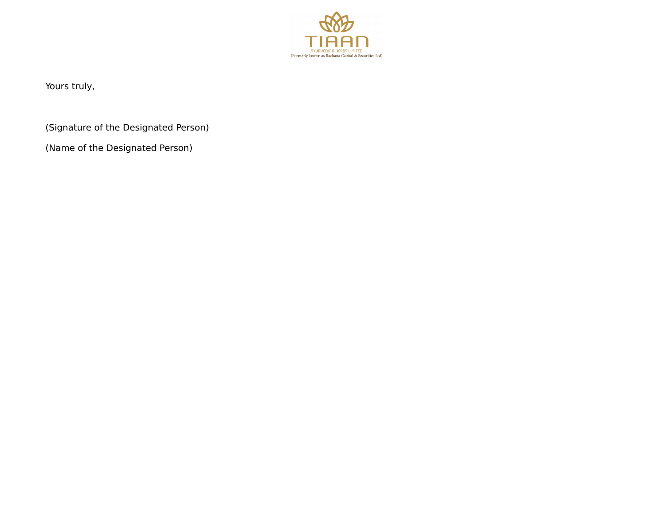

Yours truly,

(Signature of the Designated Person)

(Name of the Designated Person)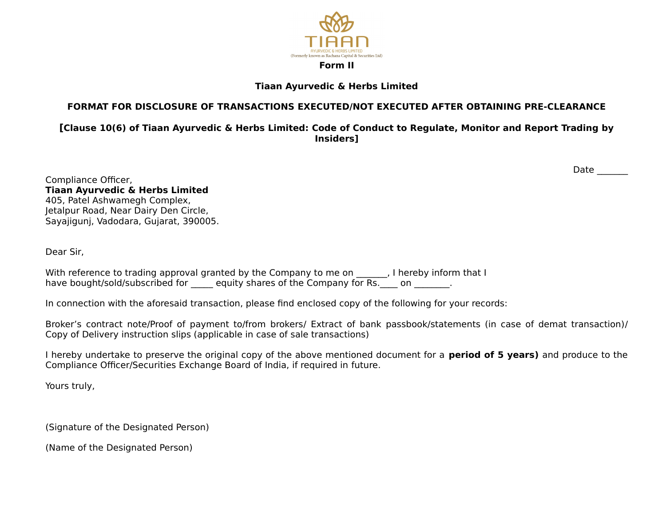

## **Tiaan Ayurvedic & Herbs Limited**

## **FORMAT FOR DISCLOSURE OF TRANSACTIONS EXECUTED/NOT EXECUTED AFTER OBTAINING PRE-CLEARANCE**

**[Clause 10(6) of Tiaan Ayurvedic & Herbs Limited: Code of Conduct to Regulate, Monitor and Report Trading by Insiders]**

Date  $\_\_$ 

Compliance Officer, **Tiaan Ayurvedic & Herbs Limited** 405, Patel Ashwamegh Complex, Jetalpur Road, Near Dairy Den Circle, Sayajigunj, Vadodara, Gujarat, 390005.

Dear Sir,

With reference to trading approval granted by the Company to me on [1], I hereby inform that I have bought/sold/subscribed for equity shares of the Company for Rs. on electronic

In connection with the aforesaid transaction, please find enclosed copy of the following for your records:

Broker's contract note/Proof of payment to/from brokers/ Extract of bank passbook/statements (in case of demat transaction)/ Copy of Delivery instruction slips (applicable in case of sale transactions)

I hereby undertake to preserve the original copy of the above mentioned document for a **period of 5 years)** and produce to the Compliance Officer/Securities Exchange Board of India, if required in future.

Yours truly,

(Signature of the Designated Person)

(Name of the Designated Person)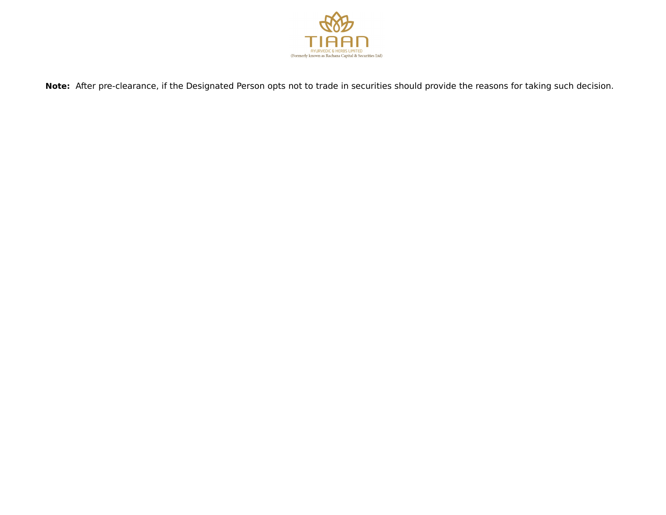

**Note:** After pre-clearance, if the Designated Person opts not to trade in securities should provide the reasons for taking such decision.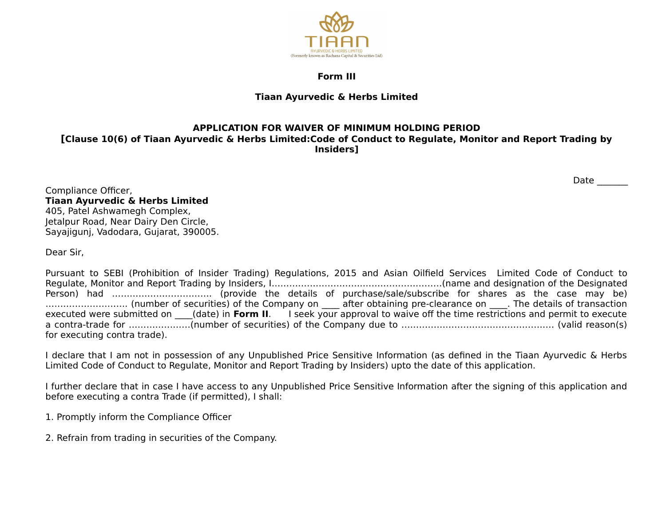

#### **Form III**

## **Tiaan Ayurvedic & Herbs Limited**

## **APPLICATION FOR WAIVER OF MINIMUM HOLDING PERIOD**

**[Clause 10(6) of Tiaan Ayurvedic & Herbs Limited:Code of Conduct to Regulate, Monitor and Report Trading by Insiders]**

Date  $\qquad \qquad \_$ 

Compliance Officer, **Tiaan Ayurvedic & Herbs Limited** 405, Patel Ashwamegh Complex, Jetalpur Road, Near Dairy Den Circle, Sayajigunj, Vadodara, Gujarat, 390005.

Dear Sir,

Pursuant to SEBI (Prohibition of Insider Trading) Regulations, 2015 and Asian Oilfield Services Limited Code of Conduct to Regulate, Monitor and Report Trading by Insiders, I………………………….………………………(name and designation of the Designated Person) had ……………………………. (provide the details of purchase/sale/subscribe for shares as the case may be) ………………………. (number of securities) of the Company on \_\_\_\_ after obtaining pre-clearance on \_\_\_\_. The details of transaction executed were submitted on (date) in **Form II.** I seek your approval to waive off the time restrictions and permit to execute a contra-trade for …………………(number of securities) of the Company due to ……………………………………………. (valid reason(s) for executing contra trade).

I declare that I am not in possession of any Unpublished Price Sensitive Information (as defined in the Tiaan Ayurvedic & Herbs Limited Code of Conduct to Regulate, Monitor and Report Trading by Insiders) upto the date of this application.

I further declare that in case I have access to any Unpublished Price Sensitive Information after the signing of this application and before executing a contra Trade (if permitted), I shall:

1. Promptly inform the Compliance Officer

2. Refrain from trading in securities of the Company.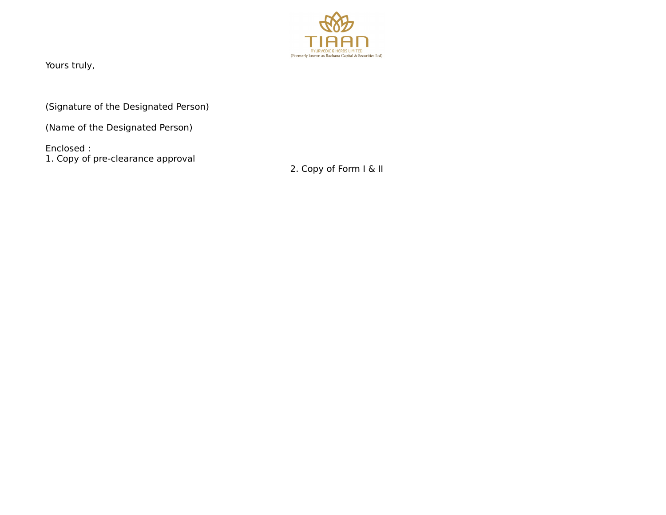

Yours truly,

(Signature of the Designated Person)

(Name of the Designated Person)

Enclosed : 1. Copy of pre-clearance approval

2. Copy of Form I & II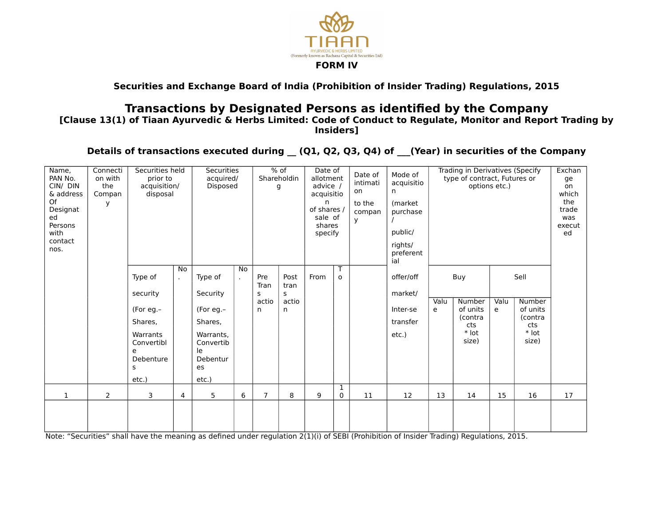

## **Securities and Exchange Board of India (Prohibition of Insider Trading) Regulations, 2015**

## **Transactions by Designated Persons as identified by the Company**

**[Clause 13(1) of Tiaan Ayurvedic & Herbs Limited: Code of Conduct to Regulate, Monitor and Report Trading by Insiders]**

Details of transactions executed during (Q1, Q2, Q3, Q4) of (Year) in securities of the Company

| Name,<br>PAN No.<br>CIN/ DIN<br>& address<br>Of<br>Designat<br>ed<br>Persons<br>with<br>contact<br>nos. | Connecti<br>on with<br>the<br>Compan<br>y | Securities held<br>prior to<br>acquisition/<br>disposal                                               |                         | Securities<br>acquired/<br>Disposed                                                                    |              | $%$ of<br>Shareholdin<br>g      |                                 | Date of<br>allotment<br>advice /<br>acquisitio<br>n<br>of shares /<br>sale of<br>shares<br>specify |                   | Date of<br>intimati<br>on<br>to the<br>compan<br>У | Mode of<br>acquisitio<br>n.<br>(market<br>purchase<br>public/<br>rights/<br>preferent<br>ial | Trading in Derivatives (Specify<br>type of contract, Futures or<br>options etc.) |                                                               | Exchan<br>ge<br>on<br>which<br>the<br>trade<br>was<br>execut<br>ed |                                                                  |    |
|---------------------------------------------------------------------------------------------------------|-------------------------------------------|-------------------------------------------------------------------------------------------------------|-------------------------|--------------------------------------------------------------------------------------------------------|--------------|---------------------------------|---------------------------------|----------------------------------------------------------------------------------------------------|-------------------|----------------------------------------------------|----------------------------------------------------------------------------------------------|----------------------------------------------------------------------------------|---------------------------------------------------------------|--------------------------------------------------------------------|------------------------------------------------------------------|----|
|                                                                                                         |                                           | Type of<br>security<br>(For eg.-<br>Shares,<br>Warrants<br>Convertibl<br>e<br>Debenture<br>s<br>etc.) | <b>No</b><br>$\epsilon$ | Type of<br>Security<br>(For eg.-<br>Shares,<br>Warrants,<br>Convertib<br>le<br>Debentur<br>es<br>etc.) | No<br>$\sim$ | Pre<br>Tran<br>s<br>actio<br>n. | Post<br>tran<br>s<br>actio<br>n | From                                                                                               | T<br>$\mathbf{o}$ |                                                    | offer/off<br>market/<br>Inter-se<br>transfer<br>etc.)                                        | Valu<br>e                                                                        | Buy<br>Number<br>of units<br>(contra<br>cts<br>* lot<br>size) | Valu<br>e                                                          | Sell<br>Number<br>of units<br>(contra<br>cts<br>$*$ lot<br>size) |    |
| $\mathbf{1}$                                                                                            | $\overline{2}$                            | 3                                                                                                     | 4                       | 5                                                                                                      | 6            | $\overline{7}$                  | 8                               | 9                                                                                                  | 1<br>$\Omega$     | 11                                                 | 12                                                                                           | 13                                                                               | 14                                                            | 15                                                                 | 16                                                               | 17 |
|                                                                                                         |                                           |                                                                                                       |                         |                                                                                                        |              |                                 |                                 |                                                                                                    |                   |                                                    |                                                                                              |                                                                                  |                                                               |                                                                    |                                                                  |    |

Note: "Securities" shall have the meaning as defined under regulation 2(1)(i) of SEBI (Prohibition of Insider Trading) Regulations, 2015.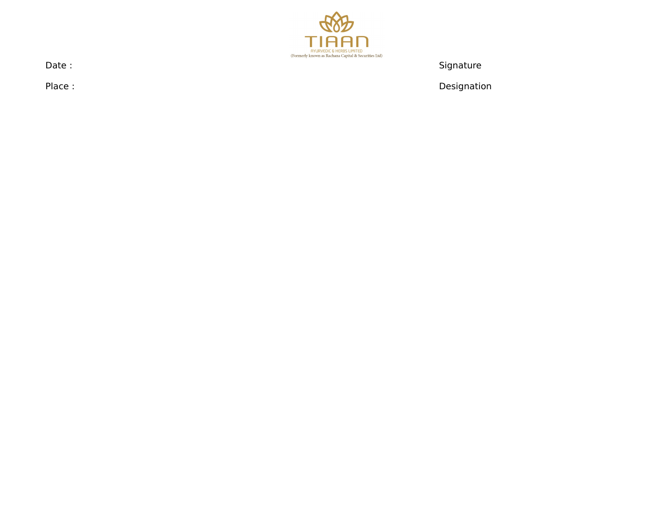

Date : Signature : Signature : Signature : Signature : Signature : Signature : Signature : Signature : Signature : Signature : Signature : Signature : Signature : Signature : Signature : Signature : Signature : Signature :

Place : Designation and the planet of the contract of the contract of the Designation Designation